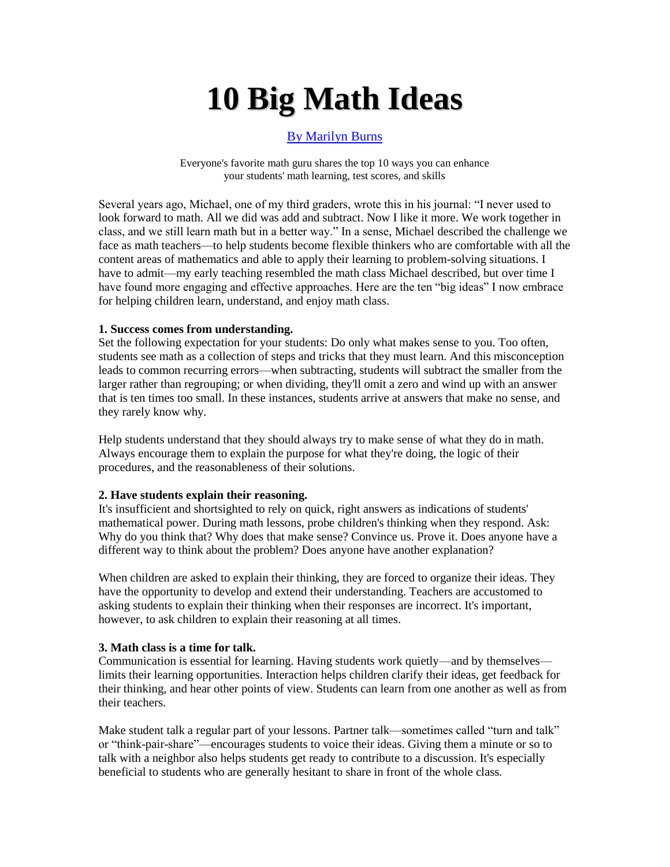# **10 Big Math Ideas**

# [By Marilyn Burns](http://teacher.scholastic.com/products/instructor/April04_MBurns.htm#bio)

Everyone's favorite math guru shares the top 10 ways you can enhance your students' math learning, test scores, and skills

Several years ago, Michael, one of my third graders, wrote this in his journal: "I never used to look forward to math. All we did was add and subtract. Now I like it more. We work together in class, and we still learn math but in a better way." In a sense, Michael described the challenge we face as math teachers—to help students become flexible thinkers who are comfortable with all the content areas of mathematics and able to apply their learning to problem-solving situations. I have to admit—my early teaching resembled the math class Michael described, but over time I have found more engaging and effective approaches. Here are the ten "big ideas" I now embrace for helping children learn, understand, and enjoy math class.

#### **1. Success comes from understanding.**

Set the following expectation for your students: Do only what makes sense to you. Too often, students see math as a collection of steps and tricks that they must learn. And this misconception leads to common recurring errors—when subtracting, students will subtract the smaller from the larger rather than regrouping; or when dividing, they'll omit a zero and wind up with an answer that is ten times too small. In these instances, students arrive at answers that make no sense, and they rarely know why.

Help students understand that they should always try to make sense of what they do in math. Always encourage them to explain the purpose for what they're doing, the logic of their procedures, and the reasonableness of their solutions.

## **2. Have students explain their reasoning.**

It's insufficient and shortsighted to rely on quick, right answers as indications of students' mathematical power. During math lessons, probe children's thinking when they respond. Ask: Why do you think that? Why does that make sense? Convince us. Prove it. Does anyone have a different way to think about the problem? Does anyone have another explanation?

When children are asked to explain their thinking, they are forced to organize their ideas. They have the opportunity to develop and extend their understanding. Teachers are accustomed to asking students to explain their thinking when their responses are incorrect. It's important, however, to ask children to explain their reasoning at all times.

## **3. Math class is a time for talk.**

Communication is essential for learning. Having students work quietly—and by themselves limits their learning opportunities. Interaction helps children clarify their ideas, get feedback for their thinking, and hear other points of view. Students can learn from one another as well as from their teachers.

Make student talk a regular part of your lessons. Partner talk—sometimes called "turn and talk" or "think-pair-share"—encourages students to voice their ideas. Giving them a minute or so to talk with a neighbor also helps students get ready to contribute to a discussion. It's especially beneficial to students who are generally hesitant to share in front of the whole class.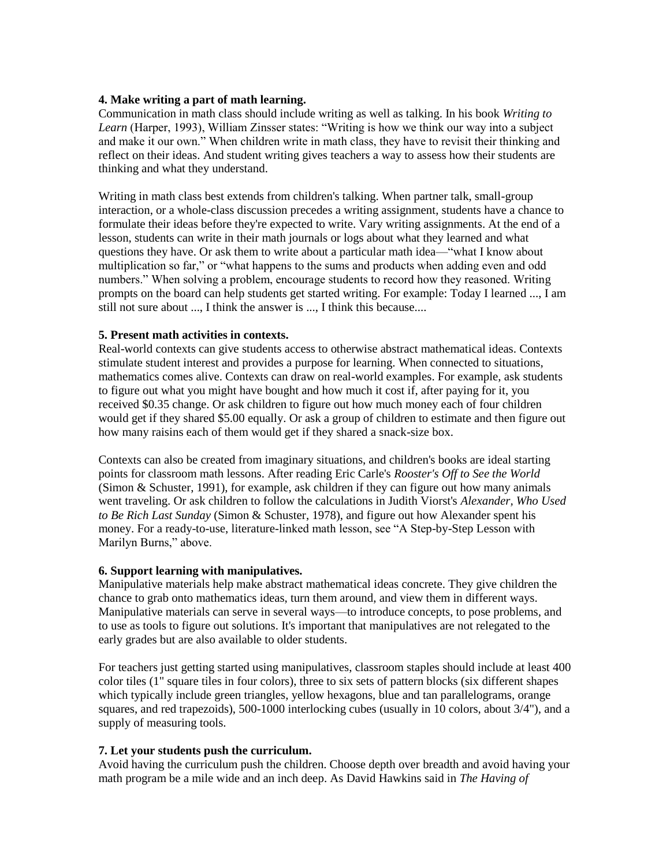## **4. Make writing a part of math learning.**

Communication in math class should include writing as well as talking. In his book *Writing to Learn* (Harper, 1993), William Zinsser states: "Writing is how we think our way into a subject and make it our own." When children write in math class, they have to revisit their thinking and reflect on their ideas. And student writing gives teachers a way to assess how their students are thinking and what they understand.

Writing in math class best extends from children's talking. When partner talk, small-group interaction, or a whole-class discussion precedes a writing assignment, students have a chance to formulate their ideas before they're expected to write. Vary writing assignments. At the end of a lesson, students can write in their math journals or logs about what they learned and what questions they have. Or ask them to write about a particular math idea—"what I know about multiplication so far," or "what happens to the sums and products when adding even and odd numbers." When solving a problem, encourage students to record how they reasoned. Writing prompts on the board can help students get started writing. For example: Today I learned ..., I am still not sure about ..., I think the answer is ..., I think this because....

## **5. Present math activities in contexts.**

Real-world contexts can give students access to otherwise abstract mathematical ideas. Contexts stimulate student interest and provides a purpose for learning. When connected to situations, mathematics comes alive. Contexts can draw on real-world examples. For example, ask students to figure out what you might have bought and how much it cost if, after paying for it, you received \$0.35 change. Or ask children to figure out how much money each of four children would get if they shared \$5.00 equally. Or ask a group of children to estimate and then figure out how many raisins each of them would get if they shared a snack-size box.

Contexts can also be created from imaginary situations, and children's books are ideal starting points for classroom math lessons. After reading Eric Carle's *Rooster's Off to See the World* (Simon & Schuster, 1991), for example, ask children if they can figure out how many animals went traveling. Or ask children to follow the calculations in Judith Viorst's *Alexander, Who Used to Be Rich Last Sunday* (Simon & Schuster, 1978), and figure out how Alexander spent his money. For a ready-to-use, literature-linked math lesson, see "A Step-by-Step Lesson with Marilyn Burns," above.

## **6. Support learning with manipulatives.**

Manipulative materials help make abstract mathematical ideas concrete. They give children the chance to grab onto mathematics ideas, turn them around, and view them in different ways. Manipulative materials can serve in several ways—to introduce concepts, to pose problems, and to use as tools to figure out solutions. It's important that manipulatives are not relegated to the early grades but are also available to older students.

For teachers just getting started using manipulatives, classroom staples should include at least 400 color tiles (1" square tiles in four colors), three to six sets of pattern blocks (six different shapes which typically include green triangles, yellow hexagons, blue and tan parallelograms, orange squares, and red trapezoids), 500-1000 interlocking cubes (usually in 10 colors, about 3/4"), and a supply of measuring tools.

## **7. Let your students push the curriculum.**

Avoid having the curriculum push the children. Choose depth over breadth and avoid having your math program be a mile wide and an inch deep. As David Hawkins said in *The Having of*